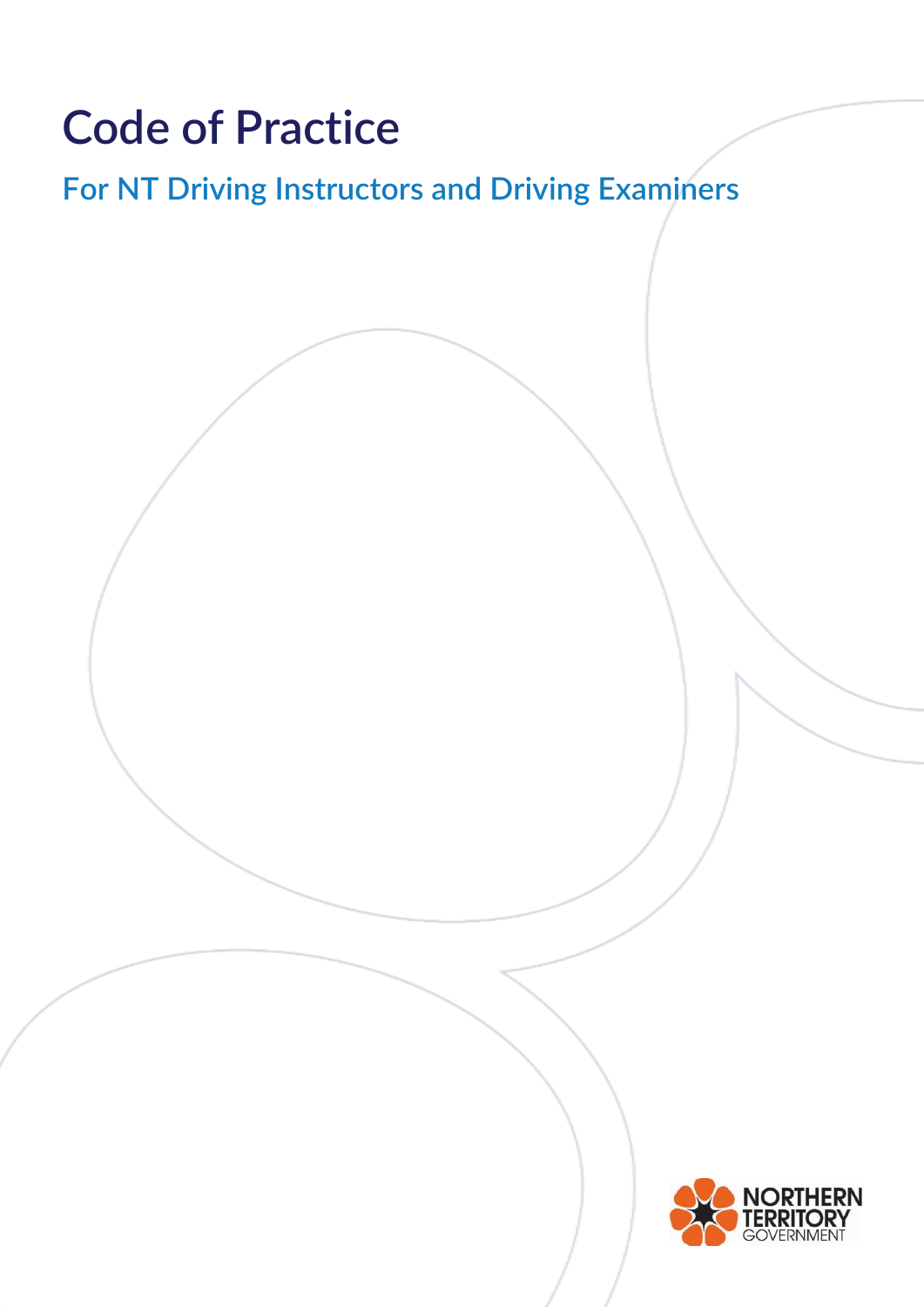# **Code of Practice**

## **For NT Driving Instructors and Driving Examiners**

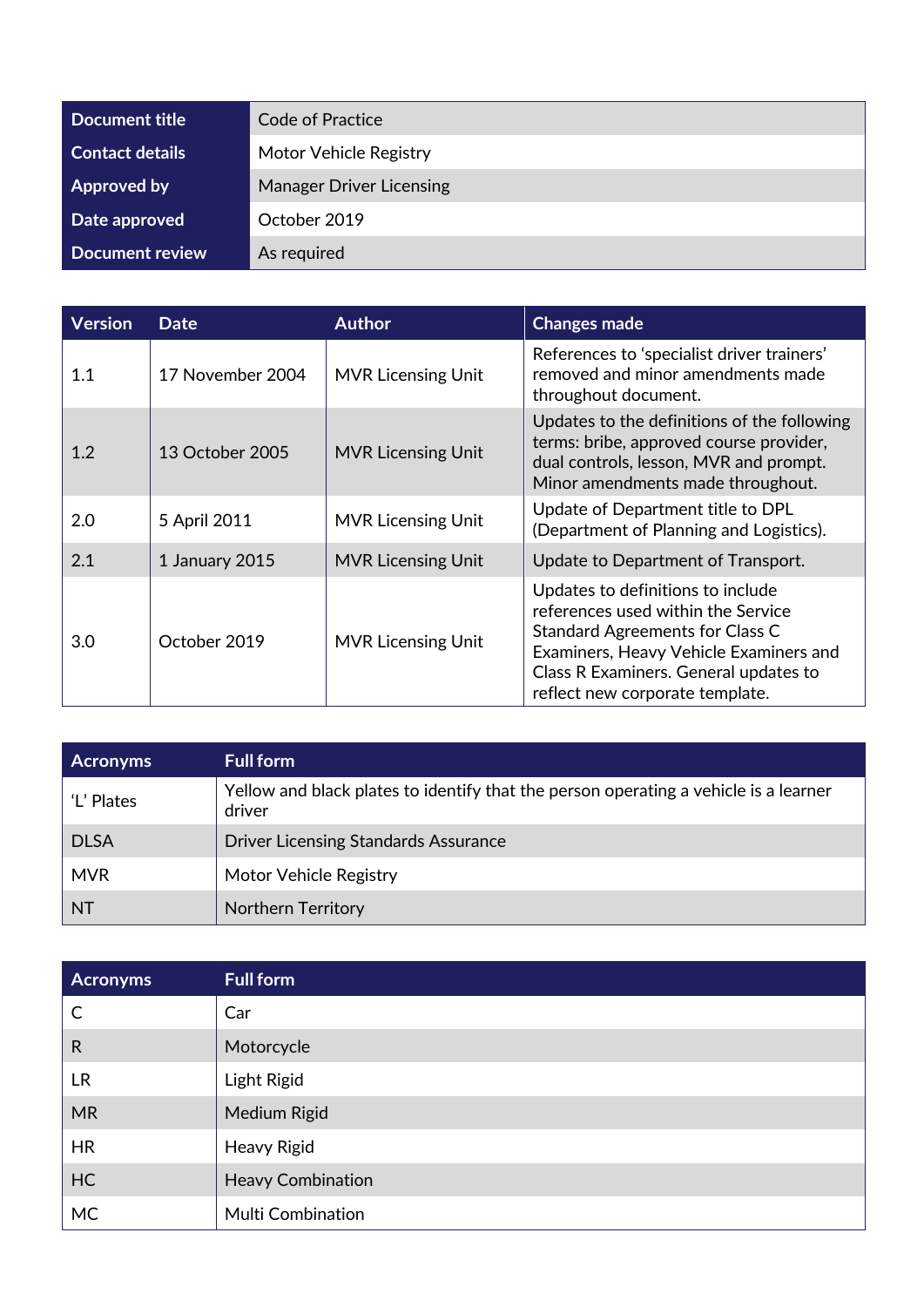| Document title         | Code of Practice                |  |
|------------------------|---------------------------------|--|
| <b>Contact details</b> | Motor Vehicle Registry          |  |
| Approved by            | <b>Manager Driver Licensing</b> |  |
| Date approved          | October 2019                    |  |
| Document review        | As required                     |  |

| <b>Version</b> | <b>Date</b>      | <b>Author</b>             | <b>Changes made</b>                                                                                                                                                                                                                     |
|----------------|------------------|---------------------------|-----------------------------------------------------------------------------------------------------------------------------------------------------------------------------------------------------------------------------------------|
| 1.1            | 17 November 2004 | <b>MVR Licensing Unit</b> | References to 'specialist driver trainers'<br>removed and minor amendments made<br>throughout document.                                                                                                                                 |
| 1.2            | 13 October 2005  | <b>MVR Licensing Unit</b> | Updates to the definitions of the following<br>terms: bribe, approved course provider,<br>dual controls, lesson, MVR and prompt.<br>Minor amendments made throughout.                                                                   |
| 2.0            | 5 April 2011     | <b>MVR Licensing Unit</b> | Update of Department title to DPL<br>(Department of Planning and Logistics).                                                                                                                                                            |
| 2.1            | 1 January 2015   | <b>MVR Licensing Unit</b> | Update to Department of Transport.                                                                                                                                                                                                      |
| 3.0            | October 2019     | <b>MVR Licensing Unit</b> | Updates to definitions to include<br>references used within the Service<br><b>Standard Agreements for Class C</b><br>Examiners, Heavy Vehicle Examiners and<br>Class R Examiners. General updates to<br>reflect new corporate template. |

| <b>Acronyms</b> | <b>Full form</b>                                                                               |
|-----------------|------------------------------------------------------------------------------------------------|
| 'L' Plates      | Yellow and black plates to identify that the person operating a vehicle is a learner<br>driver |
| <b>DLSA</b>     | <b>Driver Licensing Standards Assurance</b>                                                    |
| <b>MVR</b>      | Motor Vehicle Registry                                                                         |
| <b>NT</b>       | <b>Northern Territory</b>                                                                      |

| <b>Acronyms</b> | <b>Full form</b>         |
|-----------------|--------------------------|
| $\mathsf{C}$    | Car                      |
| $\mathsf{R}$    | Motorcycle               |
| <b>LR</b>       | <b>Light Rigid</b>       |
| <b>MR</b>       | Medium Rigid             |
| <b>HR</b>       | <b>Heavy Rigid</b>       |
| <b>HC</b>       | <b>Heavy Combination</b> |
| <b>MC</b>       | <b>Multi Combination</b> |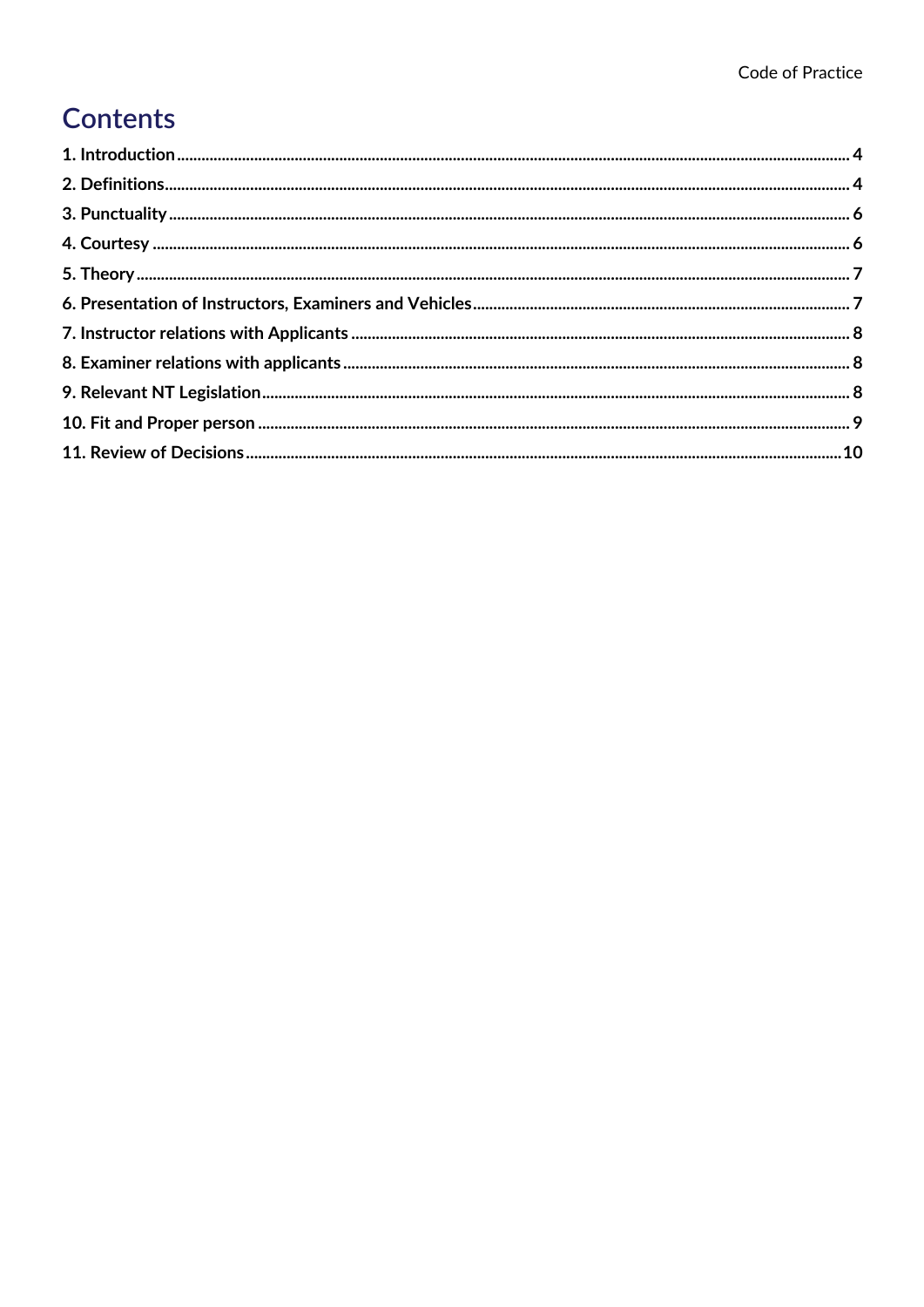#### **Contents**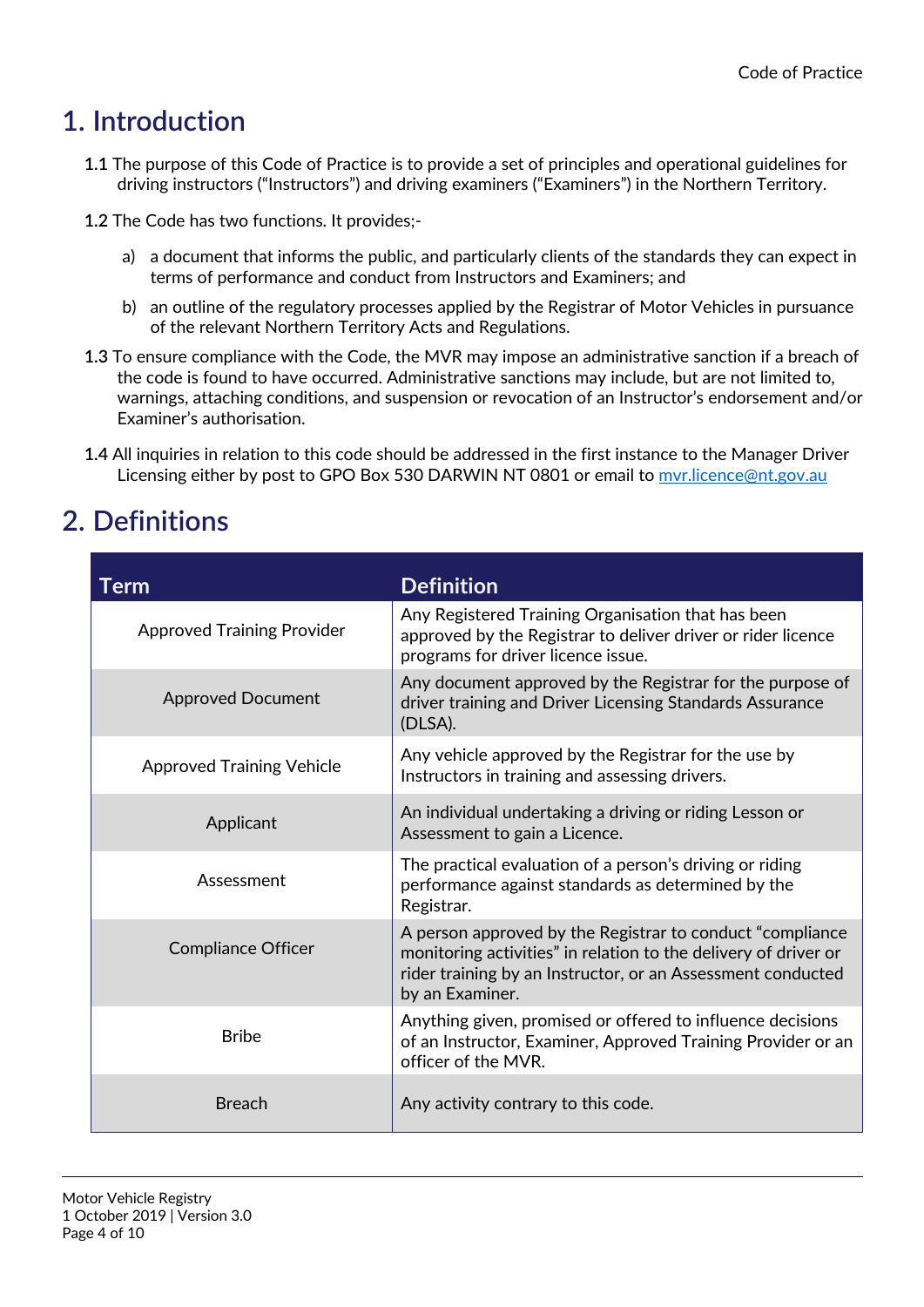#### **1. Introduction**

- **1.1** The purpose of this Code of Practice is to provide a set of principles and operational guidelines for driving instructors ("Instructors") and driving examiners ("Examiners") in the Northern Territory.
- **1.2** The Code has two functions. It provides;
	- a) a document that informs the public, and particularly clients of the standards they can expect in terms of performance and conduct from Instructors and Examiners; and
	- b) an outline of the regulatory processes applied by the Registrar of Motor Vehicles in pursuance of the relevant Northern Territory Acts and Regulations.
- **1.3** To ensure compliance with the Code, the MVR may impose an administrative sanction if a breach of the code is found to have occurred. Administrative sanctions may include, but are not limited to, warnings, attaching conditions, and suspension or revocation of an Instructor's endorsement and/or Examiner's authorisation.
- **1.4** All inquiries in relation to this code should be addressed in the first instance to the Manager Driver Licensing either by post to GPO Box 530 DARWIN NT 0801 or email to myr.licence@nt.gov.au

#### **2. Definitions**

| Term                              | <b>Definition</b>                                                                                                                                                                                               |
|-----------------------------------|-----------------------------------------------------------------------------------------------------------------------------------------------------------------------------------------------------------------|
| <b>Approved Training Provider</b> | Any Registered Training Organisation that has been<br>approved by the Registrar to deliver driver or rider licence<br>programs for driver licence issue.                                                        |
| <b>Approved Document</b>          | Any document approved by the Registrar for the purpose of<br>driver training and Driver Licensing Standards Assurance<br>(DLSA).                                                                                |
| <b>Approved Training Vehicle</b>  | Any vehicle approved by the Registrar for the use by<br>Instructors in training and assessing drivers.                                                                                                          |
| Applicant                         | An individual undertaking a driving or riding Lesson or<br>Assessment to gain a Licence.                                                                                                                        |
| Assessment                        | The practical evaluation of a person's driving or riding<br>performance against standards as determined by the<br>Registrar.                                                                                    |
| <b>Compliance Officer</b>         | A person approved by the Registrar to conduct "compliance"<br>monitoring activities" in relation to the delivery of driver or<br>rider training by an Instructor, or an Assessment conducted<br>by an Examiner. |
| <b>Bribe</b>                      | Anything given, promised or offered to influence decisions<br>of an Instructor, Examiner, Approved Training Provider or an<br>officer of the MVR.                                                               |
| <b>Breach</b>                     | Any activity contrary to this code.                                                                                                                                                                             |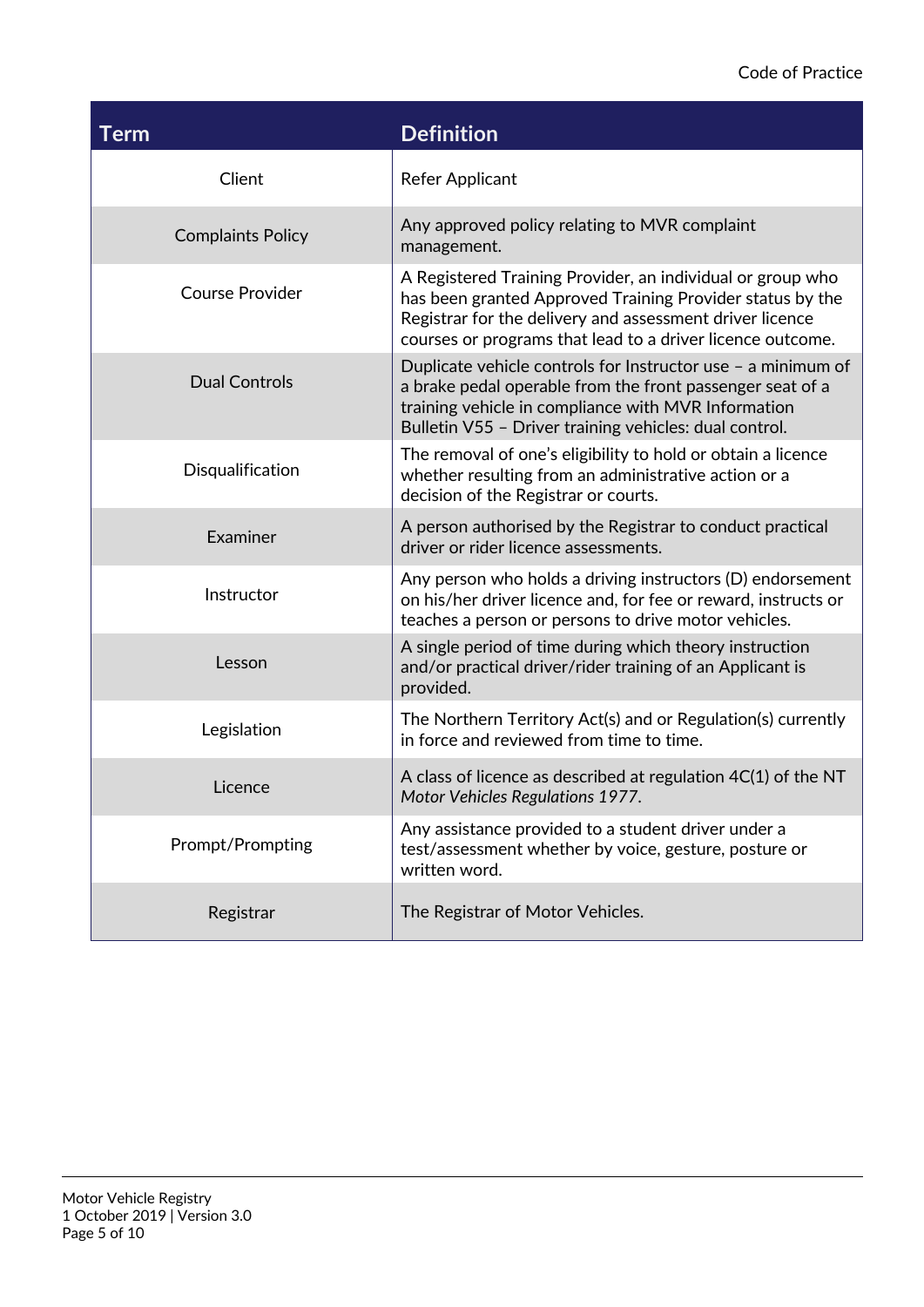#### Code of Practice

| Term                     | <b>Definition</b>                                                                                                                                                                                                                                 |
|--------------------------|---------------------------------------------------------------------------------------------------------------------------------------------------------------------------------------------------------------------------------------------------|
| Client                   | <b>Refer Applicant</b>                                                                                                                                                                                                                            |
| <b>Complaints Policy</b> | Any approved policy relating to MVR complaint<br>management.                                                                                                                                                                                      |
| <b>Course Provider</b>   | A Registered Training Provider, an individual or group who<br>has been granted Approved Training Provider status by the<br>Registrar for the delivery and assessment driver licence<br>courses or programs that lead to a driver licence outcome. |
| <b>Dual Controls</b>     | Duplicate vehicle controls for Instructor use - a minimum of<br>a brake pedal operable from the front passenger seat of a<br>training vehicle in compliance with MVR Information<br>Bulletin V55 - Driver training vehicles: dual control.        |
| Disqualification         | The removal of one's eligibility to hold or obtain a licence<br>whether resulting from an administrative action or a<br>decision of the Registrar or courts.                                                                                      |
| Examiner                 | A person authorised by the Registrar to conduct practical<br>driver or rider licence assessments.                                                                                                                                                 |
| Instructor               | Any person who holds a driving instructors (D) endorsement<br>on his/her driver licence and, for fee or reward, instructs or<br>teaches a person or persons to drive motor vehicles.                                                              |
| Lesson                   | A single period of time during which theory instruction<br>and/or practical driver/rider training of an Applicant is<br>provided.                                                                                                                 |
| Legislation              | The Northern Territory Act(s) and or Regulation(s) currently<br>in force and reviewed from time to time.                                                                                                                                          |
| Licence                  | A class of licence as described at regulation 4C(1) of the NT<br>Motor Vehicles Regulations 1977.                                                                                                                                                 |
| Prompt/Prompting         | Any assistance provided to a student driver under a<br>test/assessment whether by voice, gesture, posture or<br>written word.                                                                                                                     |
| Registrar                | The Registrar of Motor Vehicles.                                                                                                                                                                                                                  |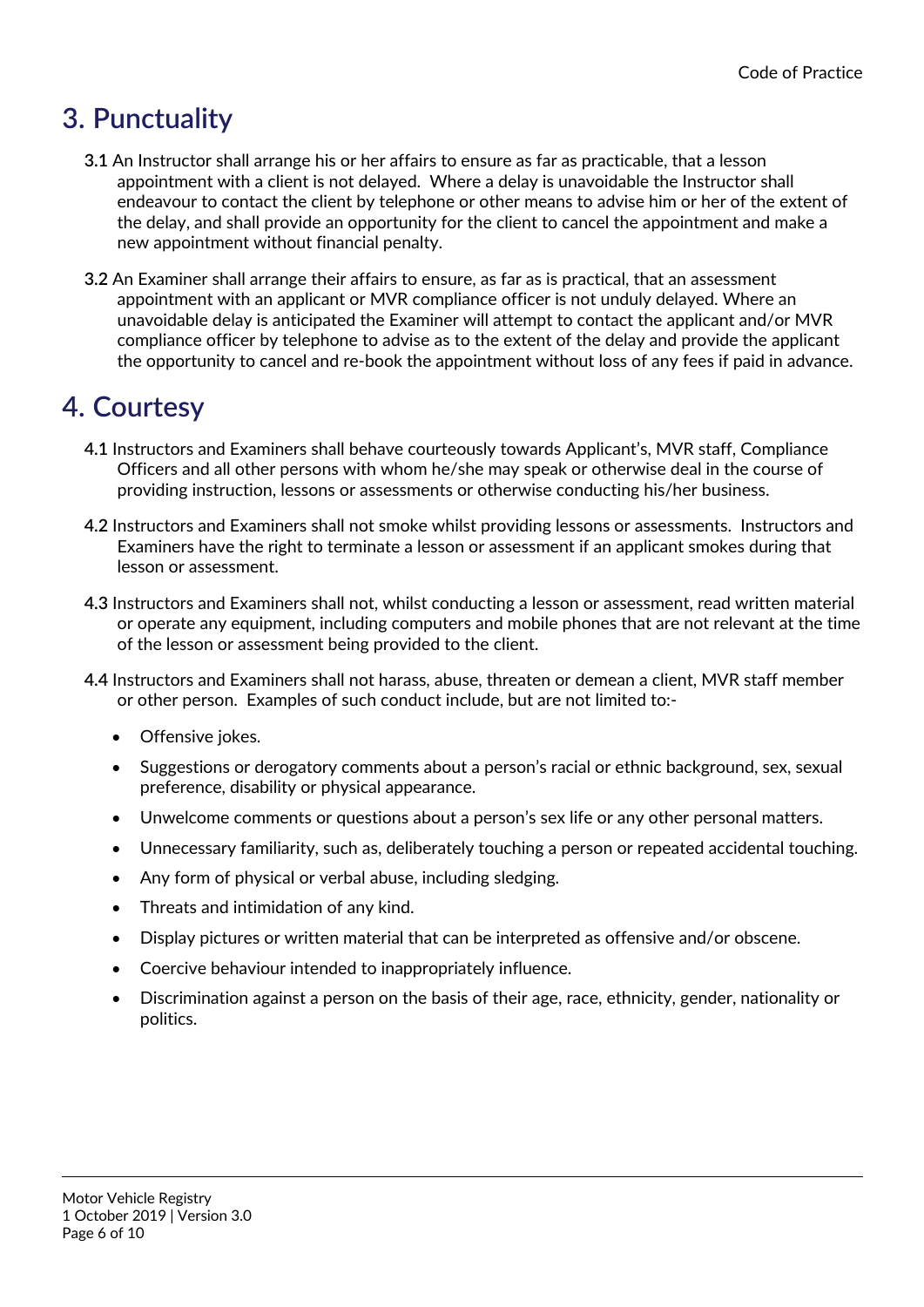#### **3. Punctuality**

- **3.1** An Instructor shall arrange his or her affairs to ensure as far as practicable, that a lesson appointment with a client is not delayed. Where a delay is unavoidable the Instructor shall endeavour to contact the client by telephone or other means to advise him or her of the extent of the delay, and shall provide an opportunity for the client to cancel the appointment and make a new appointment without financial penalty.
- **3.2** An Examiner shall arrange their affairs to ensure, as far as is practical, that an assessment appointment with an applicant or MVR compliance officer is not unduly delayed. Where an unavoidable delay is anticipated the Examiner will attempt to contact the applicant and/or MVR compliance officer by telephone to advise as to the extent of the delay and provide the applicant the opportunity to cancel and re-book the appointment without loss of any fees if paid in advance.

#### **4. Courtesy**

- **4.1** Instructors and Examiners shall behave courteously towards Applicant's, MVR staff, Compliance Officers and all other persons with whom he/she may speak or otherwise deal in the course of providing instruction, lessons or assessments or otherwise conducting his/her business.
- **4.2** Instructors and Examiners shall not smoke whilst providing lessons or assessments. Instructors and Examiners have the right to terminate a lesson or assessment if an applicant smokes during that lesson or assessment.
- **4.3** Instructors and Examiners shall not, whilst conducting a lesson or assessment, read written material or operate any equipment, including computers and mobile phones that are not relevant at the time of the lesson or assessment being provided to the client.
- **4.4** Instructors and Examiners shall not harass, abuse, threaten or demean a client, MVR staff member or other person. Examples of such conduct include, but are not limited to:-
	- Offensive jokes.
	- Suggestions or derogatory comments about a person's racial or ethnic background, sex, sexual preference, disability or physical appearance.
	- Unwelcome comments or questions about a person's sex life or any other personal matters.
	- Unnecessary familiarity, such as, deliberately touching a person or repeated accidental touching.
	- Any form of physical or verbal abuse, including sledging.
	- Threats and intimidation of any kind.
	- Display pictures or written material that can be interpreted as offensive and/or obscene.
	- Coercive behaviour intended to inappropriately influence.
	- Discrimination against a person on the basis of their age, race, ethnicity, gender, nationality or politics.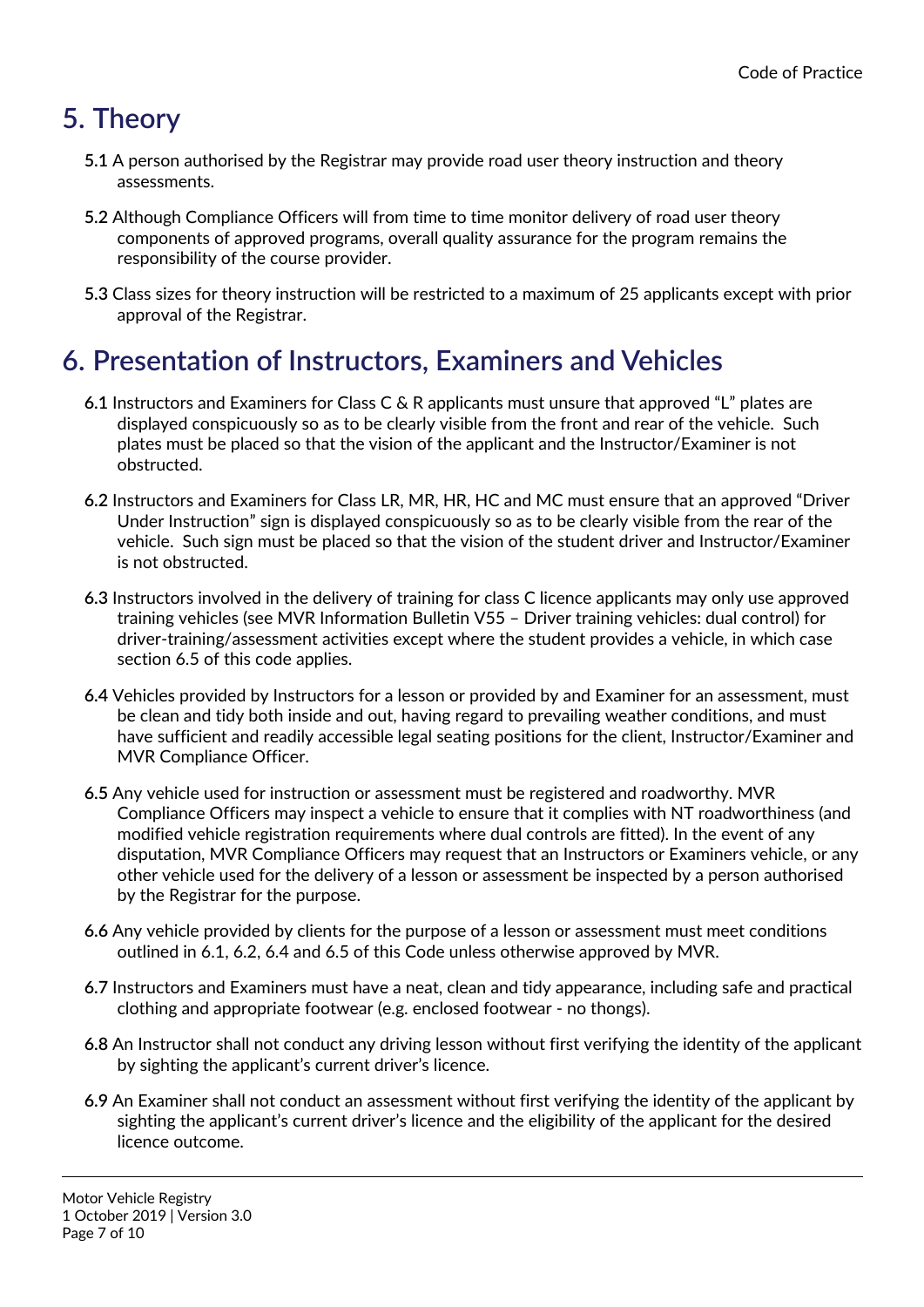### **5. Theory**

- **5.1** A person authorised by the Registrar may provide road user theory instruction and theory assessments.
- **5.2** Although Compliance Officers will from time to time monitor delivery of road user theory components of approved programs, overall quality assurance for the program remains the responsibility of the course provider.
- **5.3** Class sizes for theory instruction will be restricted to a maximum of 25 applicants except with prior approval of the Registrar.

#### **6. Presentation of Instructors, Examiners and Vehicles**

- **6.1** Instructors and Examiners for Class C & R applicants must unsure that approved "L" plates are displayed conspicuously so as to be clearly visible from the front and rear of the vehicle. Such plates must be placed so that the vision of the applicant and the Instructor/Examiner is not obstructed.
- **6.2** Instructors and Examiners for Class LR, MR, HR, HC and MC must ensure that an approved "Driver Under Instruction" sign is displayed conspicuously so as to be clearly visible from the rear of the vehicle. Such sign must be placed so that the vision of the student driver and Instructor/Examiner is not obstructed.
- **6.3** Instructors involved in the delivery of training for class C licence applicants may only use approved training vehicles (see MVR Information Bulletin V55 – Driver training vehicles: dual control) for driver-training/assessment activities except where the student provides a vehicle, in which case section 6.5 of this code applies.
- **6.4** Vehicles provided by Instructors for a lesson or provided by and Examiner for an assessment, must be clean and tidy both inside and out, having regard to prevailing weather conditions, and must have sufficient and readily accessible legal seating positions for the client, Instructor/Examiner and MVR Compliance Officer.
- **6.5** Any vehicle used for instruction or assessment must be registered and roadworthy. MVR Compliance Officers may inspect a vehicle to ensure that it complies with NT roadworthiness (and modified vehicle registration requirements where dual controls are fitted). In the event of any disputation, MVR Compliance Officers may request that an Instructors or Examiners vehicle, or any other vehicle used for the delivery of a lesson or assessment be inspected by a person authorised by the Registrar for the purpose.
- **6.6** Any vehicle provided by clients for the purpose of a lesson or assessment must meet conditions outlined in 6.1, 6.2, 6.4 and 6.5 of this Code unless otherwise approved by MVR.
- **6.7** Instructors and Examiners must have a neat, clean and tidy appearance, including safe and practical clothing and appropriate footwear (e.g. enclosed footwear - no thongs).
- **6.8** An Instructor shall not conduct any driving lesson without first verifying the identity of the applicant by sighting the applicant's current driver's licence.
- **6.9** An Examiner shall not conduct an assessment without first verifying the identity of the applicant by sighting the applicant's current driver's licence and the eligibility of the applicant for the desired licence outcome.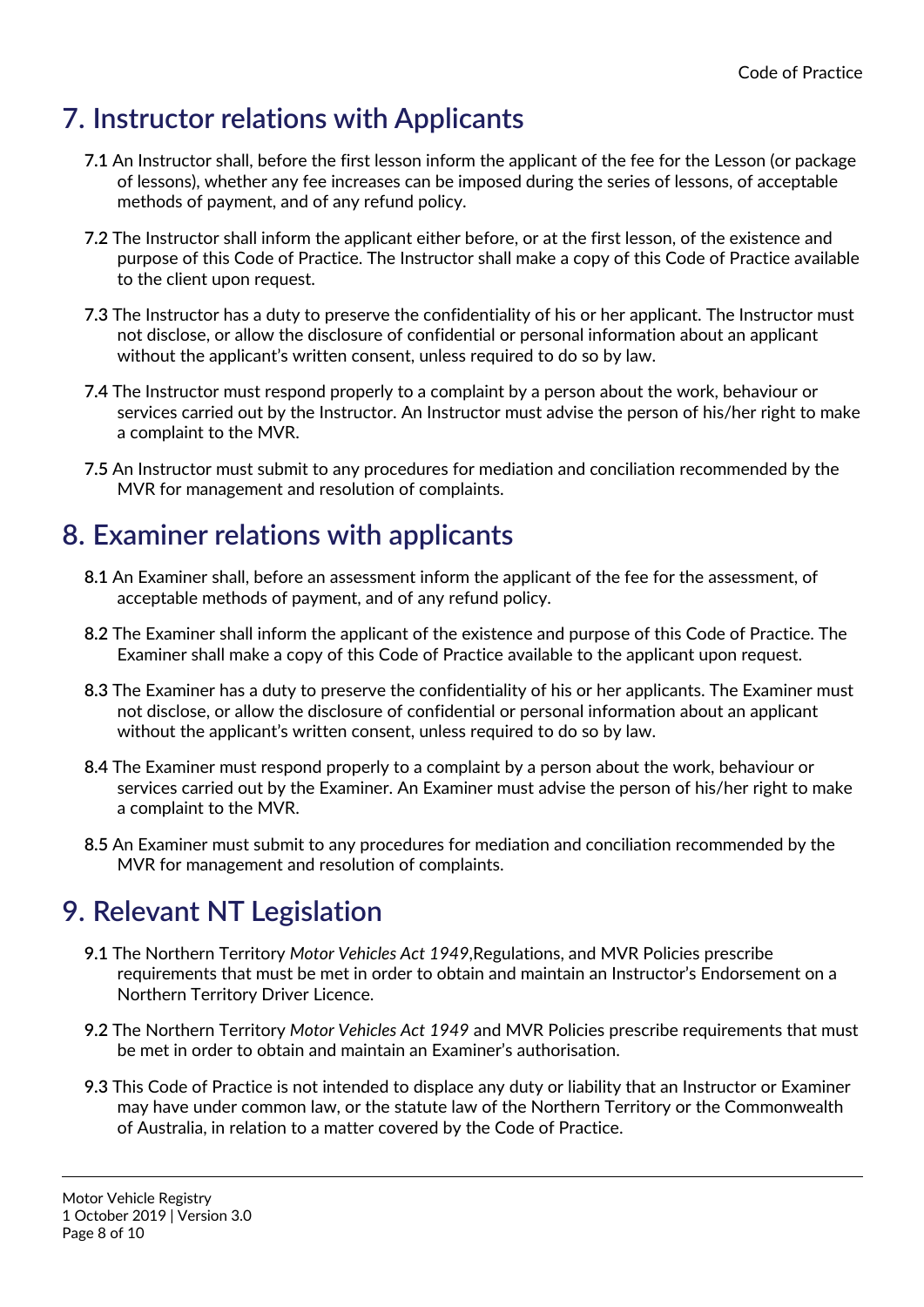#### **7. Instructor relations with Applicants**

- **7.1** An Instructor shall, before the first lesson inform the applicant of the fee for the Lesson (or package of lessons), whether any fee increases can be imposed during the series of lessons, of acceptable methods of payment, and of any refund policy.
- **7.2** The Instructor shall inform the applicant either before, or at the first lesson, of the existence and purpose of this Code of Practice. The Instructor shall make a copy of this Code of Practice available to the client upon request.
- **7.3** The Instructor has a duty to preserve the confidentiality of his or her applicant. The Instructor must not disclose, or allow the disclosure of confidential or personal information about an applicant without the applicant's written consent, unless required to do so by law.
- **7.4** The Instructor must respond properly to a complaint by a person about the work, behaviour or services carried out by the Instructor. An Instructor must advise the person of his/her right to make a complaint to the MVR.
- **7.5** An Instructor must submit to any procedures for mediation and conciliation recommended by the MVR for management and resolution of complaints.

#### **8. Examiner relations with applicants**

- **8.1** An Examiner shall, before an assessment inform the applicant of the fee for the assessment, of acceptable methods of payment, and of any refund policy.
- **8.2** The Examiner shall inform the applicant of the existence and purpose of this Code of Practice. The Examiner shall make a copy of this Code of Practice available to the applicant upon request.
- **8.3** The Examiner has a duty to preserve the confidentiality of his or her applicants. The Examiner must not disclose, or allow the disclosure of confidential or personal information about an applicant without the applicant's written consent, unless required to do so by law.
- **8.4** The Examiner must respond properly to a complaint by a person about the work, behaviour or services carried out by the Examiner. An Examiner must advise the person of his/her right to make a complaint to the MVR.
- **8.5** An Examiner must submit to any procedures for mediation and conciliation recommended by the MVR for management and resolution of complaints.

#### **9. Relevant NT Legislation**

- **9.1** The Northern Territory *Motor Vehicles Act 1949*,Regulations, and MVR Policies prescribe requirements that must be met in order to obtain and maintain an Instructor's Endorsement on a Northern Territory Driver Licence.
- **9.2** The Northern Territory *Motor Vehicles Act 1949* and MVR Policies prescribe requirements that must be met in order to obtain and maintain an Examiner's authorisation.
- **9.3** This Code of Practice is not intended to displace any duty or liability that an Instructor or Examiner may have under common law, or the statute law of the Northern Territory or the Commonwealth of Australia, in relation to a matter covered by the Code of Practice.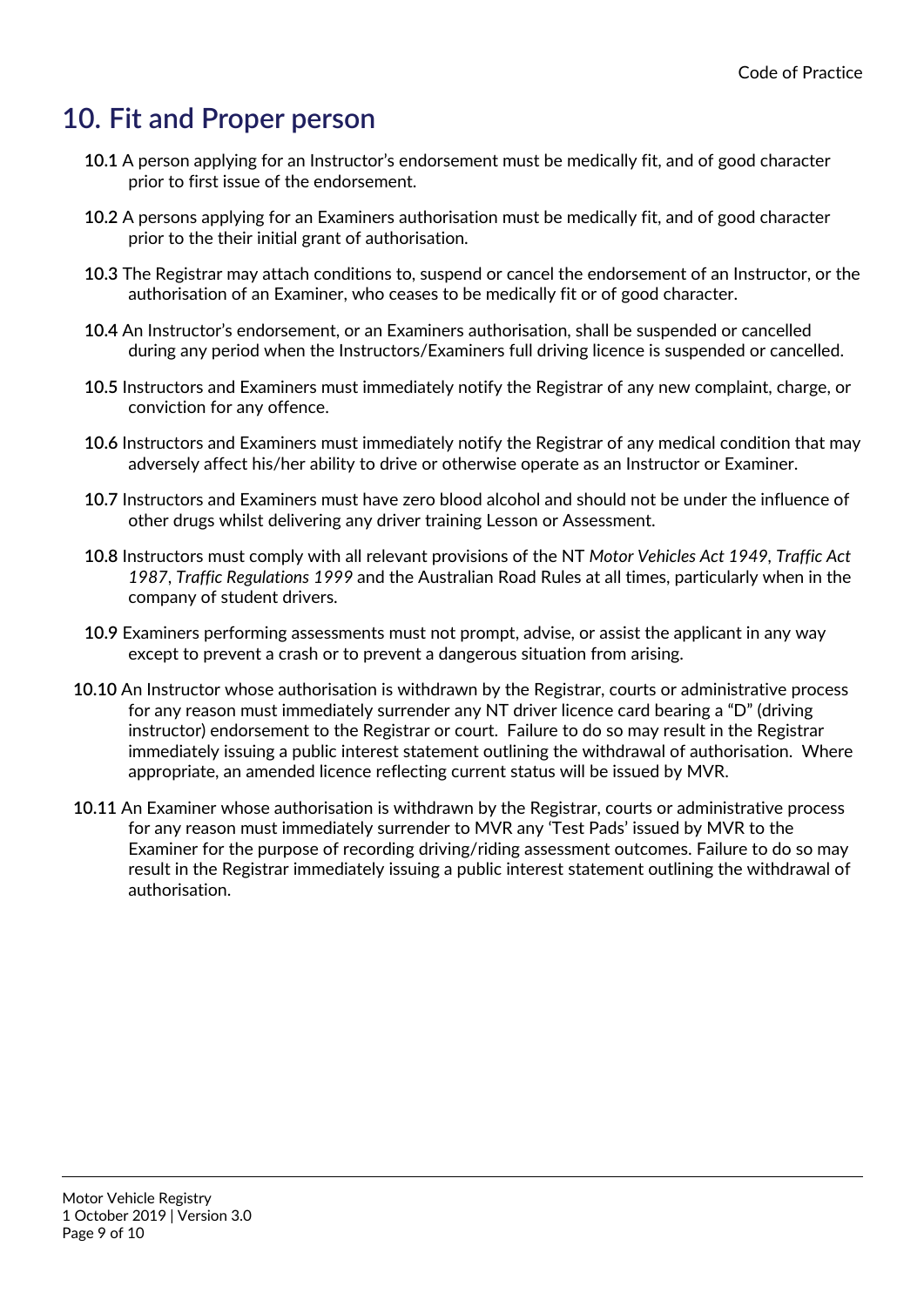#### **10. Fit and Proper person**

- **10.1** A person applying for an Instructor's endorsement must be medically fit, and of good character prior to first issue of the endorsement.
- **10.2** A persons applying for an Examiners authorisation must be medically fit, and of good character prior to the their initial grant of authorisation.
- **10.3** The Registrar may attach conditions to, suspend or cancel the endorsement of an Instructor, or the authorisation of an Examiner, who ceases to be medically fit or of good character.
- **10.4** An Instructor's endorsement, or an Examiners authorisation, shall be suspended or cancelled during any period when the Instructors/Examiners full driving licence is suspended or cancelled.
- **10.5** Instructors and Examiners must immediately notify the Registrar of any new complaint, charge, or conviction for any offence.
- **10.6** Instructors and Examiners must immediately notify the Registrar of any medical condition that may adversely affect his/her ability to drive or otherwise operate as an Instructor or Examiner.
- **10.7** Instructors and Examiners must have zero blood alcohol and should not be under the influence of other drugs whilst delivering any driver training Lesson or Assessment.
- **10.8** Instructors must comply with all relevant provisions of the NT *Motor Vehicles Act 1949, Traffic Act 1987*, *Traffic Regulations 1999* and the Australian Road Rules at all times, particularly when in the company of student drivers.
- **10.9** Examiners performing assessments must not prompt, advise, or assist the applicant in any way except to prevent a crash or to prevent a dangerous situation from arising.
- **10.10** An Instructor whose authorisation is withdrawn by the Registrar, courts or administrative process for any reason must immediately surrender any NT driver licence card bearing a "D" (driving instructor) endorsement to the Registrar or court. Failure to do so may result in the Registrar immediately issuing a public interest statement outlining the withdrawal of authorisation. Where appropriate, an amended licence reflecting current status will be issued by MVR.
- **10.11** An Examiner whose authorisation is withdrawn by the Registrar, courts or administrative process for any reason must immediately surrender to MVR any 'Test Pads' issued by MVR to the Examiner for the purpose of recording driving/riding assessment outcomes. Failure to do so may result in the Registrar immediately issuing a public interest statement outlining the withdrawal of authorisation.